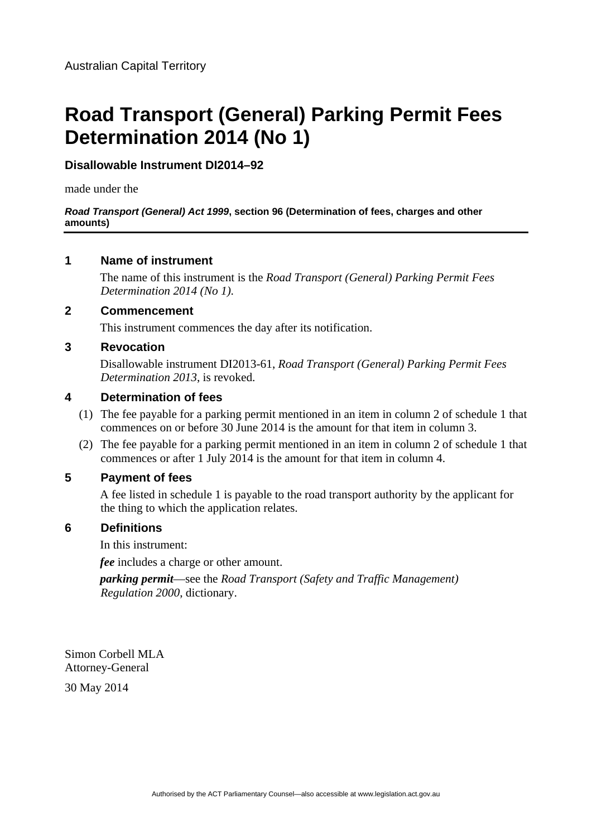# **Road Transport (General) Parking Permit Fees Determination 2014 (No 1)**

# **Disallowable Instrument DI2014–92**

made under the

#### *Road Transport (General) Act 1999***, section 96 (Determination of fees, charges and other amounts)**

### **1 Name of instrument**

The name of this instrument is the *Road Transport (General) Parking Permit Fees Determination 2014 (No 1)*.

### **2 Commencement**

This instrument commences the day after its notification.

## **3 Revocation**

Disallowable instrument DI2013-61, *Road Transport (General) Parking Permit Fees Determination 2013*, is revoked.

### **4 Determination of fees**

- (1) The fee payable for a parking permit mentioned in an item in column 2 of schedule 1 that commences on or before 30 June 2014 is the amount for that item in column 3.
- (2) The fee payable for a parking permit mentioned in an item in column 2 of schedule 1 that commences or after 1 July 2014 is the amount for that item in column 4.

# **5 Payment of fees**

A fee listed in schedule 1 is payable to the road transport authority by the applicant for the thing to which the application relates.

# **6 Definitions**

In this instrument:

*fee* includes a charge or other amount.

*parking permit*—see the *Road Transport (Safety and Traffic Management) Regulation 2000*, dictionary.

Simon Corbell MLA Attorney-General

30 May 2014